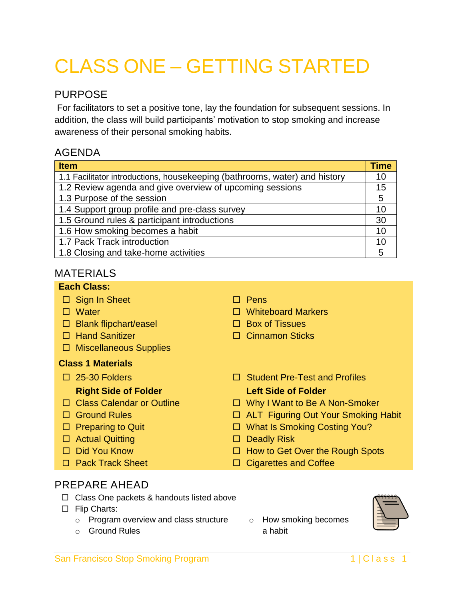# CLASS ONE – GETTING STARTED

# PURPOSE

For facilitators to set a positive tone, lay the foundation for subsequent sessions. In addition, the class will build participants' motivation to stop smoking and increase awareness of their personal smoking habits.

# AGENDA

| <b>Item</b>                                                                | <b>Time</b> |
|----------------------------------------------------------------------------|-------------|
| 1.1 Facilitator introductions, housekeeping (bathrooms, water) and history | 10          |
| 1.2 Review agenda and give overview of upcoming sessions                   | 15          |
| 1.3 Purpose of the session                                                 | 5           |
| 1.4 Support group profile and pre-class survey                             | 10          |
| 1.5 Ground rules & participant introductions                               | 30          |
| 1.6 How smoking becomes a habit                                            | 10          |
| 1.7 Pack Track introduction                                                | 10          |
| 1.8 Closing and take-home activities                                       | 5           |

# MATERIALS

#### **Each Class:**

 $\Box$  Sign In Sheet  $\Box$  Pens Water Whiteboard Markers  $\Box$  Blank flipchart/easel  $\Box$  Box of Tissues □ Hand Sanitizer Cinnamon Sticks  $\square$  Miscellaneous Supplies **Class 1 Materials**  □ 25-30 Folders Student Pre-Test and Profiles **Right Side of Folder Left Side of Folder** □ Class Calendar or Outline □ Nhy I Want to Be A Non-Smoker □ Ground Rules **DETE** ALT Figuring Out Your Smoking Habit □ Preparing to Quit **Development D** What Is Smoking Costing You? □ Actual Quitting **Deadly Risk** □ Did You Know **EXECUTE:** How to Get Over the Rough Spots □ Pack Track Sheet Cigarettes and Coffee

# PREPARE AHEAD

- $\Box$  Class One packets & handouts listed above
- □ Flip Charts:
	- o Program overview and class structure
	- o Ground Rules

o How smoking becomes a habit



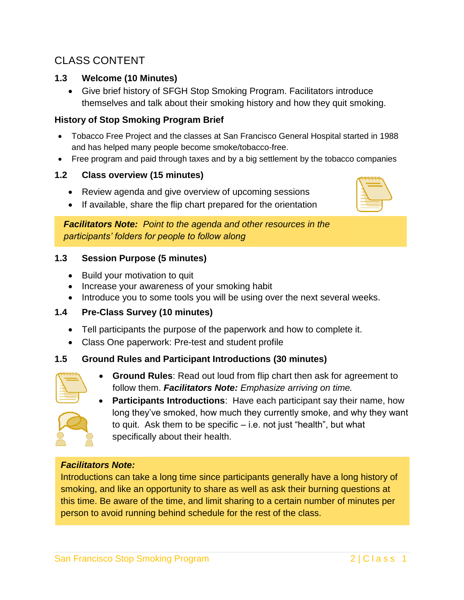# CLASS CONTENT

#### **1.3 Welcome (10 Minutes)**

 Give brief history of SFGH Stop Smoking Program. Facilitators introduce themselves and talk about their smoking history and how they quit smoking.

#### **History of Stop Smoking Program Brief**

- Tobacco Free Project and the classes at San Francisco General Hospital started in 1988 and has helped many people become smoke/tobacco-free.
- Free program and paid through taxes and by a big settlement by the tobacco companies

#### **1.2 Class overview (15 minutes)**

- Review agenda and give overview of upcoming sessions
- If available, share the flip chart prepared for the orientation

*Facilitators Note: Point to the agenda and other resources in the participants' folders for people to follow along* 

#### **1.3 Session Purpose (5 minutes)**

- Build your motivation to quit
- Increase your awareness of your smoking habit
- Introduce you to some tools you will be using over the next several weeks.

#### **1.4 Pre-Class Survey (10 minutes)**

- Tell participants the purpose of the paperwork and how to complete it.
- Class One paperwork: Pre-test and student profile

#### **1.5 Ground Rules and Participant Introductions (30 minutes)**

 **Ground Rules**: Read out loud from flip chart then ask for agreement to follow them. *Facilitators Note: Emphasize arriving on time.*



 **Participants Introductions**: Have each participant say their name, how long they've smoked, how much they currently smoke, and why they want to quit. Ask them to be specific – i.e. not just "health", but what specifically about their health.

#### *Facilitators Note:*

Introductions can take a long time since participants generally have a long history of smoking, and like an opportunity to share as well as ask their burning questions at this time. Be aware of the time, and limit sharing to a certain number of minutes per person to avoid running behind schedule for the rest of the class.

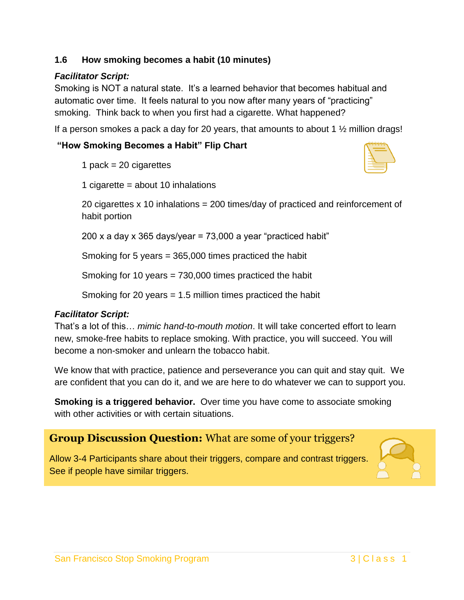## **1.6 How smoking becomes a habit (10 minutes)**

# *Facilitator Script:*

Smoking is NOT a natural state. It's a learned behavior that becomes habitual and automatic over time. It feels natural to you now after many years of "practicing" smoking. Think back to when you first had a cigarette. What happened?

If a person smokes a pack a day for 20 years, that amounts to about 1  $\frac{1}{2}$  million drags!

# **"How Smoking Becomes a Habit" Flip Chart**

1 pack  $= 20$  cigarettes

1 cigarette = about 10 inhalations

20 cigarettes x 10 inhalations = 200 times/day of practiced and reinforcement of habit portion

200 x a day x 365 days/year =  $73,000$  a year "practiced habit"

Smoking for 5 years = 365,000 times practiced the habit

Smoking for 10 years = 730,000 times practiced the habit

Smoking for 20 years = 1.5 million times practiced the habit

## *Facilitator Script:*

That's a lot of this… *mimic hand-to-mouth motion*. It will take concerted effort to learn new, smoke-free habits to replace smoking. With practice, you will succeed. You will become a non-smoker and unlearn the tobacco habit.

We know that with practice, patience and perseverance you can quit and stay quit. We are confident that you can do it, and we are here to do whatever we can to support you.

**Smoking is a triggered behavior.** Over time you have come to associate smoking with other activities or with certain situations.

# **Group Discussion Question:** What are some of your triggers?

See if people have similar triggers. Allow 3-4 Participants share about their triggers, compare and contrast triggers.